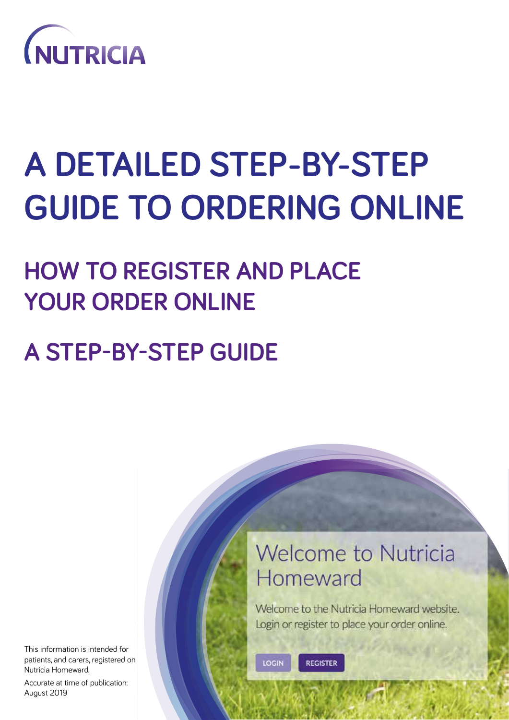

# **A DETAILED STEP-BY-STEP GUIDE TO ORDERING ONLINE**

## **HOW TO REGISTER AND PLACE YOUR ORDER ONLINE**

## **A STEP-BY-STEP GUIDE**

**Welcome to Nutricia** Homeward

Welcome to the Nutricia Homeward website. Login or register to place your order online.

This information is intended for patients, and carers, registered on Nutricia Homeward.

Accurate at time of publication: August 2019

LOGIN

**REGISTER**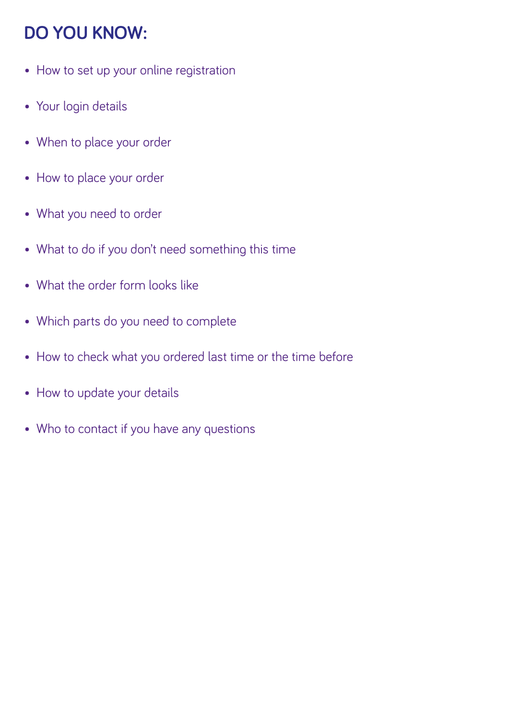## **DO YOU KNOW:**

- How to set up your online registration
- Your login details
- When to place your order
- How to place your order
- What you need to order
- What to do if you don't need something this time
- What the order form looks like
- Which parts do you need to complete
- How to check what you ordered last time or the time before
- How to update your details
- Who to contact if you have any questions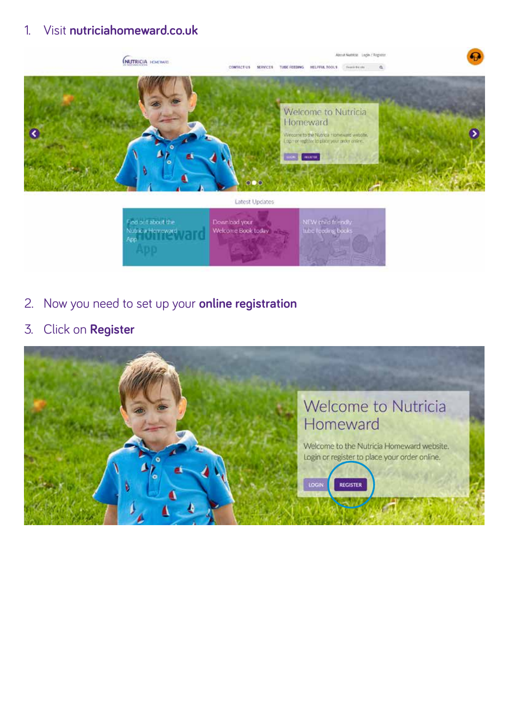## 1. Visit **nutriciahomeward.co.uk**



- 2. Now you need to set up your **online registration**
- 3. Click on **Register**

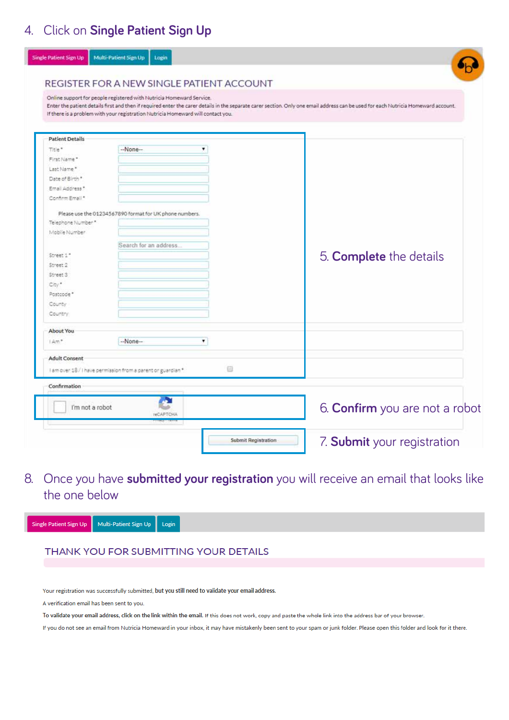## 4. Click on **Single Patient Sign Up**

|                             |                                                             | If there is a problem with your registration Nutricia Homeward will contact you. |                                       |
|-----------------------------|-------------------------------------------------------------|----------------------------------------------------------------------------------|---------------------------------------|
| <b>Patient Details</b>      |                                                             |                                                                                  |                                       |
| Title*                      | $-None-$                                                    | ۰                                                                                |                                       |
| First Name*                 |                                                             |                                                                                  |                                       |
| Last Name.*                 |                                                             |                                                                                  |                                       |
| Date of Birth *             |                                                             |                                                                                  |                                       |
| Email Address *             |                                                             |                                                                                  |                                       |
| Confirm Email. <sup>4</sup> |                                                             |                                                                                  |                                       |
|                             | Please use the 01234567890 format for UK phone numbers.     |                                                                                  |                                       |
| Telephone Number*           |                                                             |                                                                                  |                                       |
| Mobile Number               |                                                             |                                                                                  |                                       |
|                             | Search for an address                                       |                                                                                  |                                       |
|                             |                                                             |                                                                                  |                                       |
| Street 1"                   |                                                             |                                                                                  | 5. <b>Complete</b> the details        |
| Street 2                    |                                                             |                                                                                  |                                       |
| Street 3                    |                                                             |                                                                                  |                                       |
| City."                      |                                                             |                                                                                  |                                       |
| Postcode <sup>*</sup>       |                                                             |                                                                                  |                                       |
| County                      |                                                             |                                                                                  |                                       |
| Country.                    |                                                             |                                                                                  |                                       |
| <b>About You</b>            |                                                             |                                                                                  |                                       |
| 1Am*                        | --None--                                                    | ۳                                                                                |                                       |
|                             |                                                             |                                                                                  |                                       |
| <b>Adult Consent</b>        |                                                             |                                                                                  |                                       |
|                             | I am over 18/ I have permission from a parent or guardian * | €                                                                                |                                       |
|                             |                                                             |                                                                                  |                                       |
| Confirmation                |                                                             |                                                                                  |                                       |
|                             |                                                             |                                                                                  | 6. <b>Confirm</b> you are not a robot |
|                             |                                                             |                                                                                  |                                       |

8. Once you have **submitted your registration** you will receive an email that looks like the one below

|  | Single Patient Sign Up   Multi-Patient Sign Up   Login |  |
|--|--------------------------------------------------------|--|
|--|--------------------------------------------------------|--|

### THANK YOU FOR SUBMITTING YOUR DETAILS

Your registration was successfully submitted, but you still need to validate your email address.

A verification email has been sent to you.

To validate your email address, click on the link within the email. If this does not work, copy and paste the whole link into the address bar of your browser.

If you do not see an email from Nutricia Homeward in your inbox, it may have mistakenly been sent to your spam or junk folder. Please open this folder and look for it there.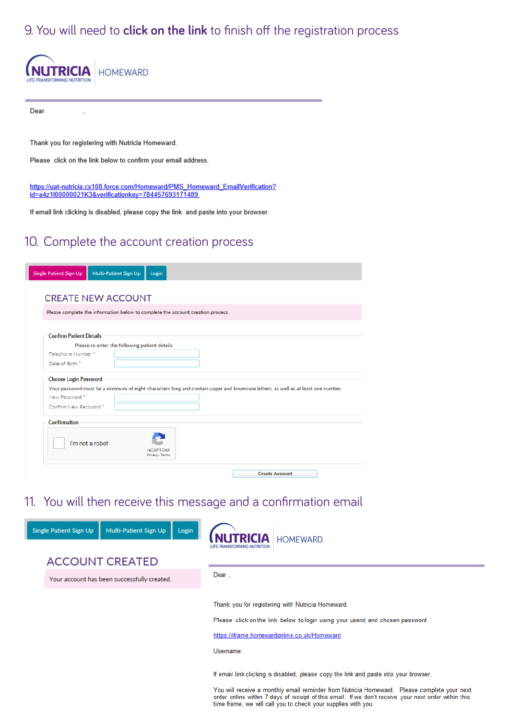## 9. You will need to **click on the link** to finish off the registration process



Dear

Thank you for registering with Nutricia Homeward.

Please click on the link below to confirm your email address.

https://uat-nutricia.cs108.force.com/Homeward/PMS\_Homeward\_EmailVerification? id=a4z1l00000021K3&verificationkey=784457693171489

If email link clicking is disabled, please copy the link and paste into your browser.

## 10. Complete the account creation process

| Multi-Patient Sign Up<br><b>Single Patient Sign Up</b><br>Login                                                                   |
|-----------------------------------------------------------------------------------------------------------------------------------|
| <b>CREATE NEW ACCOUNT</b>                                                                                                         |
|                                                                                                                                   |
| Please complete the information below to complete the account creation process.                                                   |
| <b>Confirm Patient Details</b>                                                                                                    |
|                                                                                                                                   |
| Please re-enter the following patient details.                                                                                    |
| Telephone Number*                                                                                                                 |
| Date of Birth *                                                                                                                   |
| <b>Choose Login Password</b>                                                                                                      |
| Your password must be a minimum of eight characters long and contain upper and lowercase letters, as well as at least one number. |
| New Password *                                                                                                                    |
| Confirm New Password *                                                                                                            |
| <b>Confirmation</b>                                                                                                               |
| I'm not a robot<br><b>reCAPTCHA</b><br>Privacy - Terms                                                                            |
| <b>Create Account</b>                                                                                                             |

### 11. You will then receive this message and a confirmation email

| Single Patient Sign Up                      | Multi-Patient Sign Up | Login | <b>HOMEWARD</b><br>LIFE-TRANSFORMING NUTRITION                                                                                                                                                                                                                                                                                                               |
|---------------------------------------------|-----------------------|-------|--------------------------------------------------------------------------------------------------------------------------------------------------------------------------------------------------------------------------------------------------------------------------------------------------------------------------------------------------------------|
| <b>ACCOUNT CREATED</b>                      |                       |       |                                                                                                                                                                                                                                                                                                                                                              |
| Your account has been successfully created. |                       |       | Dear,                                                                                                                                                                                                                                                                                                                                                        |
|                                             |                       |       | Thank you for registering with Nutricia Homeward.<br>Please click on the link below to login using your userid and chosen password<br>https://iframe.homewardonline.co.uk/Homeward<br>Username:                                                                                                                                                              |
|                                             |                       |       | If email link clicking is disabled, please copy the link and paste into your browser.<br>You will receive a monthly email reminder from Nutricia Homeward. Please complete your next<br>order online within 7 days of receipt of this email. If we don't receive your next order within this<br>time frame, we will call you to check your supplies with you |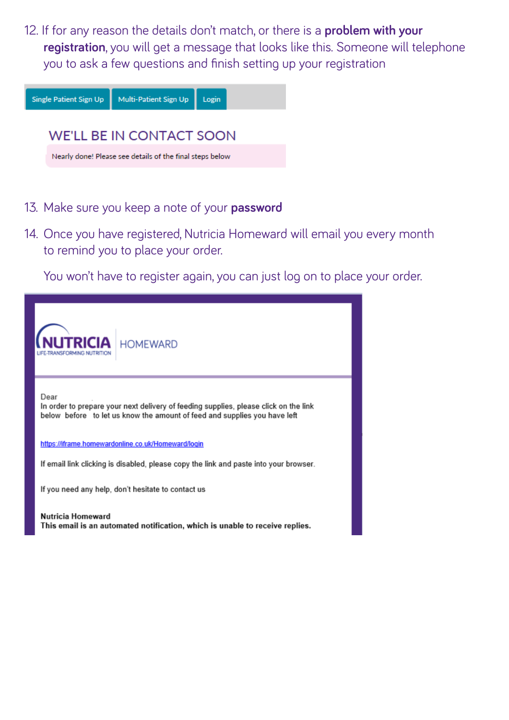12. If for any reason the details don't match, or there is a **problem with your registration**, you will get a message that looks like this. Someone will telephone you to ask a few questions and finish setting up your registration



- 13. Make sure you keep a note of your **password**
- 14. Once you have registered, Nutricia Homeward will email you every month to remind you to place your order.

You won't have to register again, you can just log on to place your order.

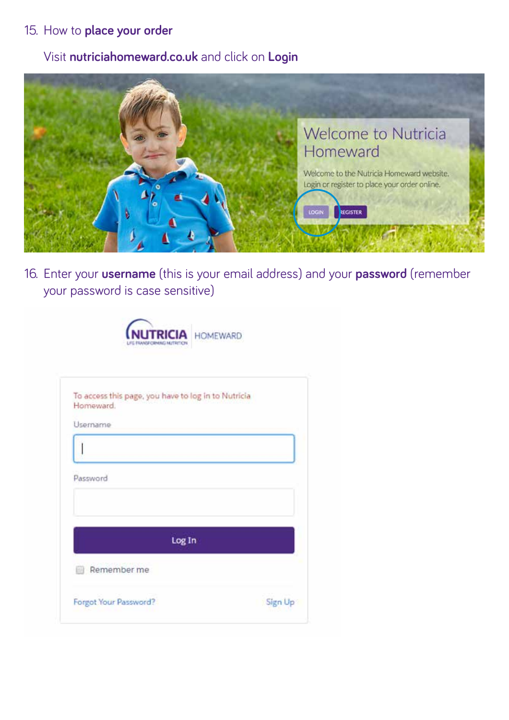## 15. How to **place your order**

## Visit **nutriciahomeward.co.uk** and click on **Login**



16. Enter your **username** (this is your email address) and your **password** (remember your password is case sensitive)



| Password |  |
|----------|--|
| Log In   |  |
|          |  |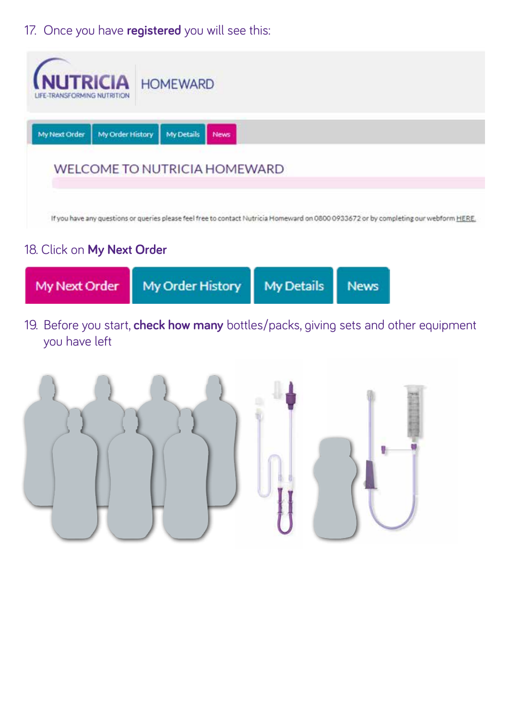17. Once you have **registered** you will see this:



18. Click on **My Next Order**



19. Before you start, **check how many** bottles/packs, giving sets and other equipment you have left

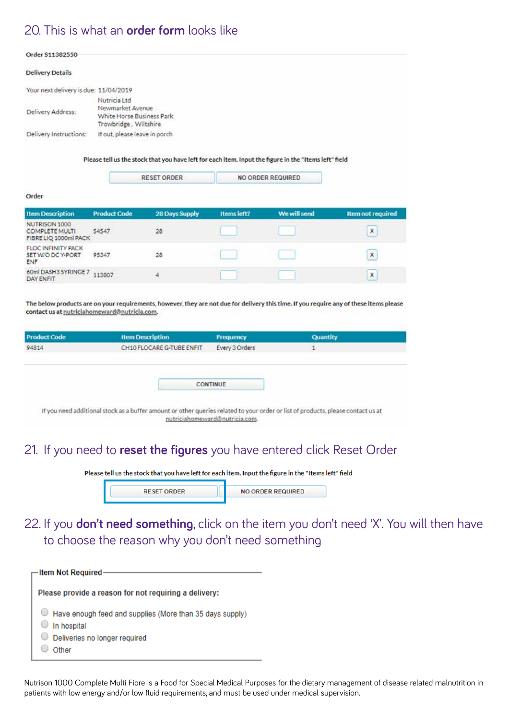## 20. This is what an **order form** looks like

#### Order S11382550

#### **Delivery Details**

| Your next delivery is due: 11/04/2019 |                                                                                        |
|---------------------------------------|----------------------------------------------------------------------------------------|
| Delivery Address:                     | Nutricia Ltd<br>Newmarket Avenue<br>White Horse Business Park<br>Trowbridge, Wiltshire |
| Delivery Instructions:                | If out, please leave in porch                                                          |

Please tell us the stock that you have left for each item. Input the figure in the "Items left" field

| <b>RESET ORDER</b> | NO ORDER REQUIRED |
|--------------------|-------------------|
|                    |                   |

#### Order

| <b>Item Description</b>                                  | <b>Product Code</b> | 28 Days Supply | Items left?                | We will send | <b>Item not required</b> |
|----------------------------------------------------------|---------------------|----------------|----------------------------|--------------|--------------------------|
| NUTRISON 1000<br>COMPLETE MULTI<br>FIBRE LIO 1000ml PACK | 54547               | 28             |                            |              | ×                        |
| <b>FLOC INFINITY PACK</b><br>SET W/O DC Y-PORT<br>ENF    | 95347               | 28             | $\mathcal{F}(\mathcal{C})$ |              | ×                        |
| 60ml DASH3 SYRINGE 7<br><b>DAY ENFIT</b>                 | 113807              | 4              |                            |              | X                        |

The below products are on your requirements, however, they are not due for delivery this time. If you require any of these items please contact us at nutriciahomeward@nutricia.com.

| <b>Product Code</b> | <b>Item Description</b>                                                                                                          | Frequency                      | Quantity |
|---------------------|----------------------------------------------------------------------------------------------------------------------------------|--------------------------------|----------|
| 94814               | CH10 FLOCARE G-TUBE ENFIT                                                                                                        | Every 3 Orders                 |          |
|                     |                                                                                                                                  | CONTINUE                       |          |
|                     |                                                                                                                                  |                                |          |
|                     | If you need additional stock as a buffer amount or other queries related to your order or list of products, please contact us at | nutriciahomeward@nutricia.com. |          |

### 21. If you need to **reset the figures** you have entered click Reset Order

Please tell us the stock that you have left for each item. Input the figure in the "Items left" field

**RESET ORDER** 

NO ORDER REQUIRED

22. If you **don't need something**, click on the item you don't need 'X'. You will then have to choose the reason why you don't need something

| ├─ Item Not Required -                                                                                            |
|-------------------------------------------------------------------------------------------------------------------|
| Please provide a reason for not requiring a delivery:                                                             |
| Have enough feed and supplies (More than 35 days supply)<br>In hospital<br>Deliveries no longer required<br>Other |

Nutrison 1000 Complete Multi Fibre is a Food for Special Medical Purposes for the dietary management of disease related malnutrition in patients with low energy and/or low fluid requirements, and must be used under medical supervision.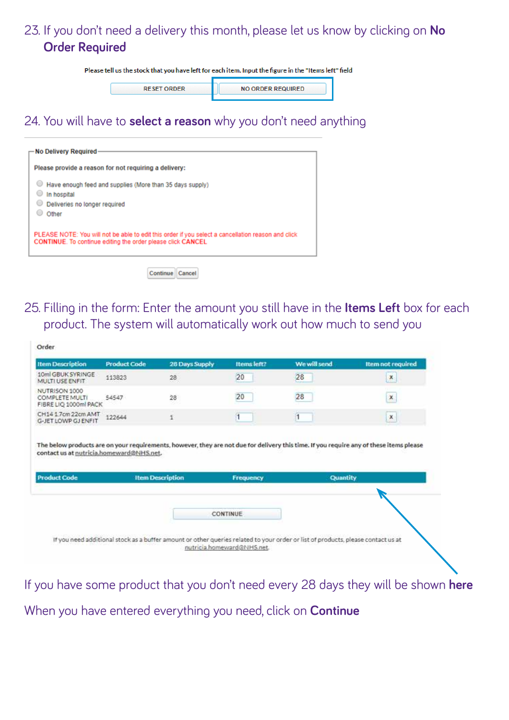## 23. If you don't need a delivery this month, please let us know by clicking on **No Order Required**

Please tell us the stock that you have left for each item. Input the figure in the "Items left" field

**RESET ORDER** 

**NO ORDER REQUIRED** 

## 24. You will have to **select a reason** why you don't need anything



25. Filling in the form: Enter the amount you still have in the **Items Left** box for each product. The system will automatically work out how much to send you

| <b>Item Description</b>                                  | <b>Product Code</b> | 28 Days Supply          | <b>Items left?</b> | We will send | <b>Item not required</b>                                                                                                                |
|----------------------------------------------------------|---------------------|-------------------------|--------------------|--------------|-----------------------------------------------------------------------------------------------------------------------------------------|
| 10ml GBUK SYRINGE<br>MULTI USE ENFIT                     | 113823              | 28                      | 20                 | 28           | ×                                                                                                                                       |
| NUTRISON 1000<br>COMPLETE MULTI<br>FIBRE LIQ 1000ml PACK | 54547               | 28                      | 20                 | 28           | ×                                                                                                                                       |
| CH14 1 7cm 22cm AMT<br>G-JET LOWP GJ ENFIT               | 122644              | 1                       | 1                  | i1           | $\mathbf x$                                                                                                                             |
| contact us at nutricia.homeward@NHS.net.                 |                     |                         |                    |              | The below products are on your requirements, however, they are not due for delivery this time. If you require any of these items please |
| <b>Product Code</b>                                      |                     | <b>Item Description</b> | <b>Frequency</b>   | Quantity     |                                                                                                                                         |
|                                                          |                     |                         |                    |              |                                                                                                                                         |
|                                                          |                     |                         | <b>CONTINUE</b>    |              |                                                                                                                                         |
|                                                          |                     |                         |                    |              |                                                                                                                                         |

If you have some product that you don't need every 28 days they will be shown **here** When you have entered everything you need, click on **Continue**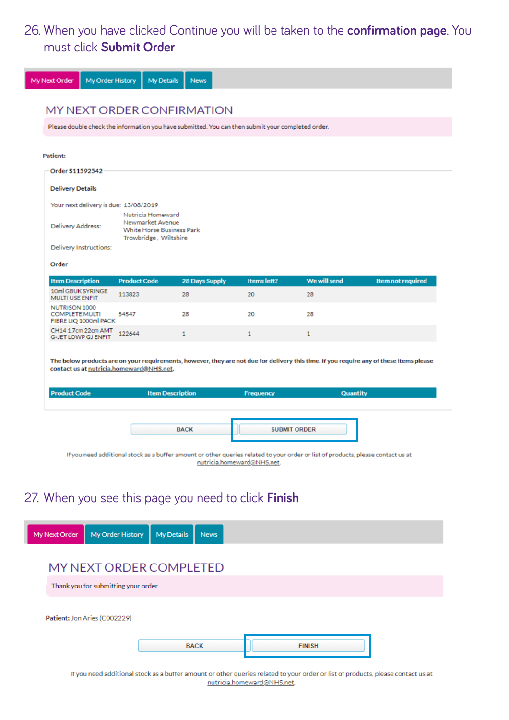## 26. When you have clicked Continue you will be taken to the **confirmation page**. You must click **Submit Order**

| My Next Order                                                   | My Order History | My Details                                                                    | <b>News</b>                                                                                                                      |                            |                     |                                                                                                                                         |
|-----------------------------------------------------------------|------------------|-------------------------------------------------------------------------------|----------------------------------------------------------------------------------------------------------------------------------|----------------------------|---------------------|-----------------------------------------------------------------------------------------------------------------------------------------|
|                                                                 |                  |                                                                               | <b>MY NEXT ORDER CONFIRMATION</b>                                                                                                |                            |                     |                                                                                                                                         |
|                                                                 |                  |                                                                               | Please double check the information you have submitted. You can then submit your completed order.                                |                            |                     |                                                                                                                                         |
|                                                                 |                  |                                                                               |                                                                                                                                  |                            |                     |                                                                                                                                         |
| Patient:                                                        |                  |                                                                               |                                                                                                                                  |                            |                     |                                                                                                                                         |
| Order S11592542                                                 |                  |                                                                               |                                                                                                                                  |                            |                     |                                                                                                                                         |
| <b>Delivery Details</b>                                         |                  |                                                                               |                                                                                                                                  |                            |                     |                                                                                                                                         |
|                                                                 |                  | Your next delivery is due: 13/08/2019<br>Nutricia Homeward                    |                                                                                                                                  |                            |                     |                                                                                                                                         |
| Delivery Address:                                               |                  | Newmarket Avenue<br><b>White Horse Business Park</b><br>Trowbridge, Wiltshire |                                                                                                                                  |                            |                     |                                                                                                                                         |
| Delivery Instructions:                                          |                  |                                                                               |                                                                                                                                  |                            |                     |                                                                                                                                         |
| Order                                                           |                  |                                                                               |                                                                                                                                  |                            |                     |                                                                                                                                         |
| <b>Item Description</b>                                         |                  | <b>Product Code</b>                                                           | 28 Days Supply                                                                                                                   | Items left?                | We will send        | <b>Item not required</b>                                                                                                                |
| 10ml GBUK SYRINGE                                               |                  | 113823                                                                        | 28                                                                                                                               | 20                         | 28                  |                                                                                                                                         |
| MULTI USE ENFIT                                                 |                  |                                                                               |                                                                                                                                  |                            |                     |                                                                                                                                         |
| NUTRISON 1000<br><b>COMPLETE MULTI</b><br>FIBRE LIQ 1000ml PACK |                  | 54547                                                                         | 28                                                                                                                               | 20                         | 28                  |                                                                                                                                         |
| CH14 1.7cm 22cm AMT<br><b>G-JET LOWP GJ ENFIT</b>               |                  | 122644                                                                        | 1                                                                                                                                | 1                          | $\mathbf{1}$        |                                                                                                                                         |
| <b>Product Code</b>                                             |                  | contact us at nutricia.homeward@NHS.net.                                      | <b>Item Description</b>                                                                                                          | <b>Frequency</b>           | <b>Quantity</b>     | The below products are on your requirements, however, they are not due for delivery this time. If you require any of these items please |
|                                                                 |                  |                                                                               |                                                                                                                                  |                            |                     |                                                                                                                                         |
|                                                                 |                  |                                                                               | <b>BACK</b>                                                                                                                      |                            | <b>SUBMIT ORDER</b> |                                                                                                                                         |
|                                                                 |                  |                                                                               | If you need additional stock as a buffer amount or other queries related to your order or list of products, please contact us at |                            |                     |                                                                                                                                         |
|                                                                 |                  |                                                                               |                                                                                                                                  | nutricia.homeward@NHS.net. |                     |                                                                                                                                         |
|                                                                 |                  |                                                                               |                                                                                                                                  |                            |                     |                                                                                                                                         |
|                                                                 |                  |                                                                               | 27. When you see this page you need to click <b>Finish</b>                                                                       |                            |                     |                                                                                                                                         |
|                                                                 |                  |                                                                               |                                                                                                                                  |                            |                     |                                                                                                                                         |
| My Next Order                                                   |                  | My Order History                                                              | My Details<br><b>News</b>                                                                                                        |                            |                     |                                                                                                                                         |
|                                                                 |                  |                                                                               | MY NEXT ORDER COMPLETED                                                                                                          |                            |                     |                                                                                                                                         |

Patient: Jon Aries (C002229)

I

If you need additional stock as a buffer amount or other queries related to your order or list of products, please contact us at nutricia.homeward@NHS.net.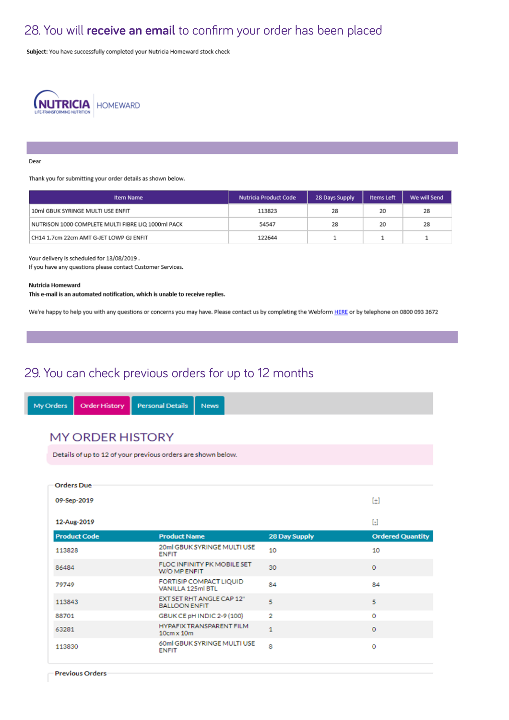## 28. You will **receive an email** to confirm your order has been placed

Subject: You have successfully completed your Nutricia Homeward stock check



#### Dear

Thank you for submitting your order details as shown below.

| Item Name                                          | Nutricia Product Code | 28 Days Supply | <b>Items Left</b> | We will Send |
|----------------------------------------------------|-----------------------|----------------|-------------------|--------------|
| 10ml GBUK SYRINGE MULTI USE ENFIT                  | 113823                | 28             | 20                | 28           |
| NUTRISON 1000 COMPLETE MULTI FIBRE LIQ 1000ml PACK | 54547                 | 28             | 20                | 28           |
| CH14 1.7cm 22cm AMT G-JET LOWP GJ ENFIT            | 122644                |                |                   |              |

Your delivery is scheduled for 13/08/2019.

If you have any questions please contact Customer Services.

#### Nutricia Homeward

This e-mail is an automated notification, which is unable to receive replies.

We're happy to help you with any questions or concerns you may have. Please contact us by completing the Webform HERE or by telephone on 0800 093 3672

## 29. You can check previous orders for up to 12 months

| <b>Order History</b><br>My Orders | <b>Personal Details</b><br><b>News</b>                       |                      |                                                           |
|-----------------------------------|--------------------------------------------------------------|----------------------|-----------------------------------------------------------|
|                                   |                                                              |                      |                                                           |
| <b>MY ORDER HISTORY</b>           |                                                              |                      |                                                           |
|                                   | Details of up to 12 of your previous orders are shown below. |                      |                                                           |
|                                   |                                                              |                      |                                                           |
| <b>Orders Due</b>                 |                                                              |                      |                                                           |
| 09-Sep-2019                       |                                                              |                      | $[+]$                                                     |
|                                   |                                                              |                      |                                                           |
| 12-Aug-2019                       |                                                              |                      | $\left[\begin{smallmatrix} 1\\ 1\end{smallmatrix}\right]$ |
| <b>Product Code</b>               | <b>Product Name</b>                                          | <b>28 Day Supply</b> | <b>Ordered Quantity</b>                                   |
| 113828                            | 20ml GBUK SYRINGE MULTI USE<br><b>ENFIT</b>                  | 10                   | 10                                                        |
| 86484                             | FLOC INFINITY PK MOBILE SET<br>W/O MP ENFIT                  | 30                   | $\circ$                                                   |
| 79749                             | FORTISIP COMPACT LIQUID<br>VANILLA 125ml BTL                 | 84                   | 84                                                        |
|                                   |                                                              |                      |                                                           |
| 113843                            | EXT SET RHT ANGLE CAP 12"<br><b>BALLOON ENFIT</b>            | 5                    | 5                                                         |
| 88701                             | GBUK CE pH INDIC 2-9 (100)                                   | $\overline{2}$       | Ō                                                         |
| 63281                             | <b>HYPAFIX TRANSPARENT FILM</b><br>$10cm \times 10m$         | $\mathbf{1}$         | $\circ$                                                   |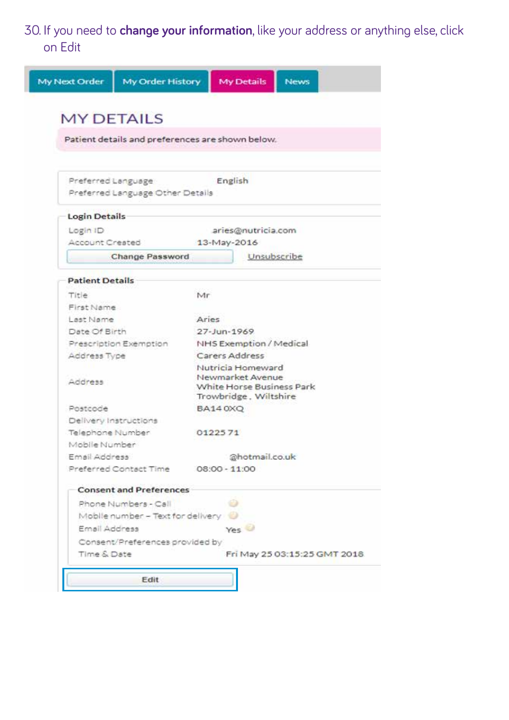## 30. If you need to **change your information**, like your address or anything else, click on Edit

| My Next Order                                          | <b>My Details</b><br>My Order History<br><b>News</b>                   |  |  |
|--------------------------------------------------------|------------------------------------------------------------------------|--|--|
| <b>MY DETAILS</b>                                      |                                                                        |  |  |
|                                                        | Patient details and preferences are shown below.                       |  |  |
|                                                        |                                                                        |  |  |
| Preferred Language<br>Preferred Language Other Details | English                                                                |  |  |
| <b>Login Details</b>                                   |                                                                        |  |  |
| Login ID                                               | aries@nutricia.com                                                     |  |  |
| Account Created                                        | 13-May-2016                                                            |  |  |
| <b>Change Password</b>                                 | Unsubscribe                                                            |  |  |
| <b>Patient Details</b>                                 |                                                                        |  |  |
| Title                                                  | Mr                                                                     |  |  |
| First Name                                             |                                                                        |  |  |
| Last Name                                              | Aries                                                                  |  |  |
| Date Of Birth                                          | 27-Jun-1969                                                            |  |  |
| Prescription Exemption                                 | NHS Exemption / Medical                                                |  |  |
| Address Type                                           | Carers Address                                                         |  |  |
|                                                        | Nutricia Homeward                                                      |  |  |
| Address                                                | Newmarket Avenue<br>White Horse Business Park<br>Trowbridge, Wiltshire |  |  |
| Postcode                                               | <b>BA140XQ</b>                                                         |  |  |
| Delivery Instructions                                  |                                                                        |  |  |
| Telephone Number                                       | 0122571                                                                |  |  |
| Mobile Number                                          |                                                                        |  |  |
| Email Address                                          | @hotmail.co.uk                                                         |  |  |
| Preferred Contact Time                                 | 08:00 - 11:00                                                          |  |  |
| <b>Consent and Preferences</b>                         |                                                                        |  |  |
| Phone Numbers - Call                                   | o                                                                      |  |  |
|                                                        | Mobile number - Text for delivery                                      |  |  |
| Email Address                                          | Yes <sup>O</sup>                                                       |  |  |
| Consent/Preferences provided by                        |                                                                        |  |  |
| Time & Date                                            | Fri May 25 03:15:25 GMT 2018                                           |  |  |
|                                                        |                                                                        |  |  |